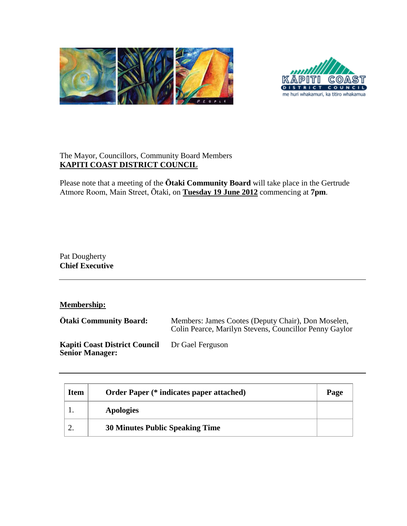



## The Mayor, Councillors, Community Board Members **KAPITI COAST DISTRICT COUNCIL**

Please note that a meeting of the **Ōtaki Community Board** will take place in the Gertrude Atmore Room, Main Street, Ōtaki, on **Tuesday 19 June 2012** commencing at **7pm**.

Pat Dougherty **Chief Executive**

**Membership:**

| <b>Otaki Community Board:</b>                                  | Members: James Cootes (Deputy Chair), Don Moselen,<br>Colin Pearce, Marilyn Stevens, Councillor Penny Gaylor |
|----------------------------------------------------------------|--------------------------------------------------------------------------------------------------------------|
| <b>Kapiti Coast District Council</b><br><b>Senior Manager:</b> | Dr Gael Ferguson                                                                                             |

| <b>Item</b> | <b>Order Paper (* indicates paper attached)</b> | Page |
|-------------|-------------------------------------------------|------|
|             | <b>Apologies</b>                                |      |
|             | <b>30 Minutes Public Speaking Time</b>          |      |